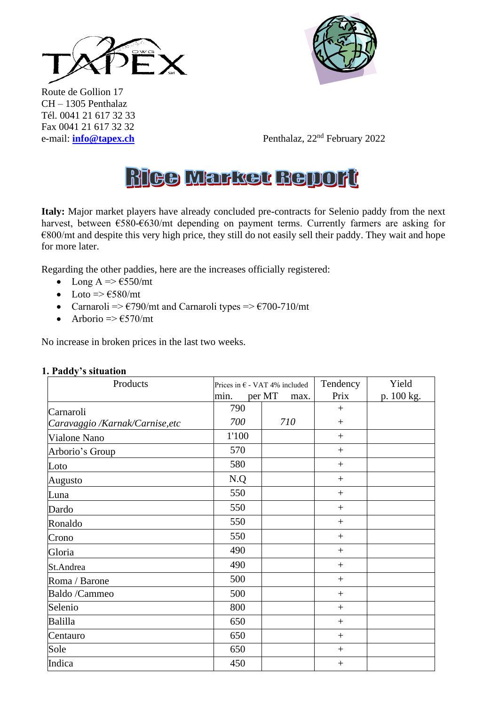



Route de Gollion 17 CH – 1305 Penthalaz Tél. 0041 21 617 32 33 Fax 0041 21 617 32 32

e-mail: **[info@tapex.ch](mailto:info@tapex.ch)** Penthalaz, 22nd February 2022

# **Rice Market Bellort**

**Italy:** Major market players have already concluded pre-contracts for Selenio paddy from the next harvest, between €580-€630/mt depending on payment terms. Currently farmers are asking for  $€800/mt$  and despite this very high price, they still do not easily sell their paddy. They wait and hope for more later.

Regarding the other paddies, here are the increases officially registered:

- Long A  $\Rightarrow$   $\epsilon$ 550/mt
- Loto  $\Rightarrow$   $\epsilon$ 580/mt
- Carnaroli =>  $\epsilon$ 790/mt and Carnaroli types =>  $\epsilon$ 700-710/mt
- Arborio  $\Rightarrow$   $\epsilon$ 570/mt

No increase in broken prices in the last two weeks.

| $\ldots$<br>Products            | Prices in $\epsilon$ - VAT 4% included |     | Tendency        | Yield      |
|---------------------------------|----------------------------------------|-----|-----------------|------------|
|                                 | per MT<br>min.<br>max.                 |     | Prix            | p. 100 kg. |
| Carnaroli                       | 790                                    |     | $^{+}$          |            |
| Caravaggio /Karnak/Carnise, etc | 700                                    | 710 | $^{+}$          |            |
| Vialone Nano                    | 1'100                                  |     | $\! + \!\!\!\!$ |            |
| Arborio's Group                 | 570                                    |     | $+$             |            |
| Loto                            | 580                                    |     | $\! + \!\!\!\!$ |            |
| Augusto                         | N.Q                                    |     | $^{+}$          |            |
| Luna                            | 550                                    |     | $^{+}$          |            |
| Dardo                           | 550                                    |     | $\! + \!\!\!\!$ |            |
| Ronaldo                         | 550                                    |     | $^{+}$          |            |
| Crono                           | 550                                    |     | $+$             |            |
| Gloria                          | 490                                    |     | $+$             |            |
| St.Andrea                       | 490                                    |     | $^{+}$          |            |
| Roma / Barone                   | 500                                    |     | $^{+}$          |            |
| <b>Baldo</b> /Cammeo            | 500                                    |     | $^{+}$          |            |
| Selenio                         | 800                                    |     | $^{+}$          |            |
| Balilla                         | 650                                    |     | $\! + \!\!\!\!$ |            |
| Centauro                        | 650                                    |     | $+$             |            |
| Sole                            | 650                                    |     | $^{+}$          |            |
| Indica                          | 450                                    |     | $^{+}$          |            |

## **1. Paddy's situation**